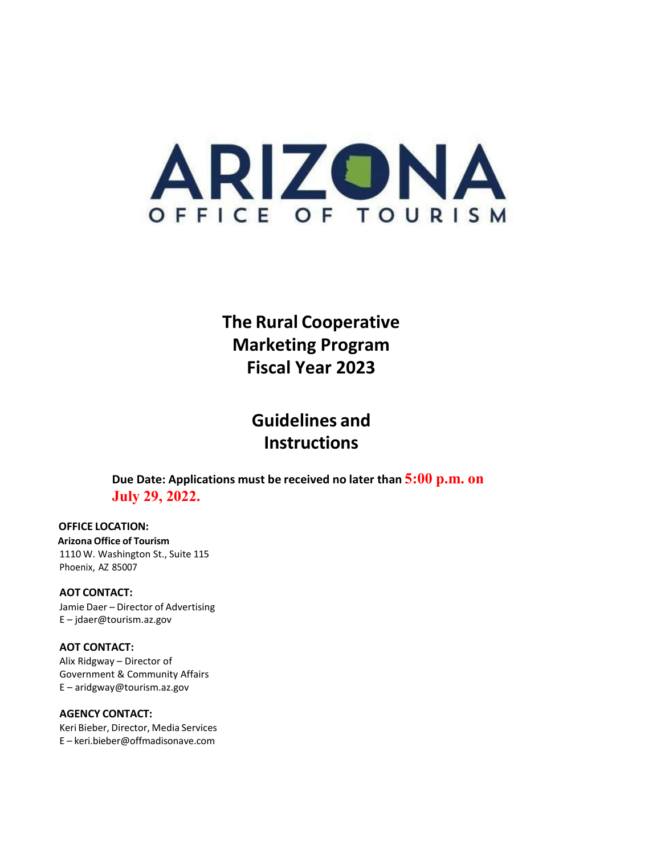

**The Rural Cooperative Marketing Program Fiscal Year 2023**

> **Guidelines and Instructions**

**Due Date: Applications must be received no later than 5:00 p.m. on July 29, 2022.**

#### **OFFICE LOCATION:**

**Arizona Office of Tourism** 1110 W. Washington St., Suite 115 Phoenix, AZ 85007

#### **AOT CONTACT:**

Jamie Daer – Director of Advertising E – [jdaer@tourism.az.gov](mailto:jdaer@tourism.az.gov)

#### **AOT CONTACT:**

Alix Ridgway – Director of Government & Community Affairs E – aridgway@tourism.az.gov

#### **AGENCY CONTACT:**

Keri Bieber, Director, Media Services E – [keri.bieber@offmadisonave.com](mailto:keri.bieber@offmadisonave.com)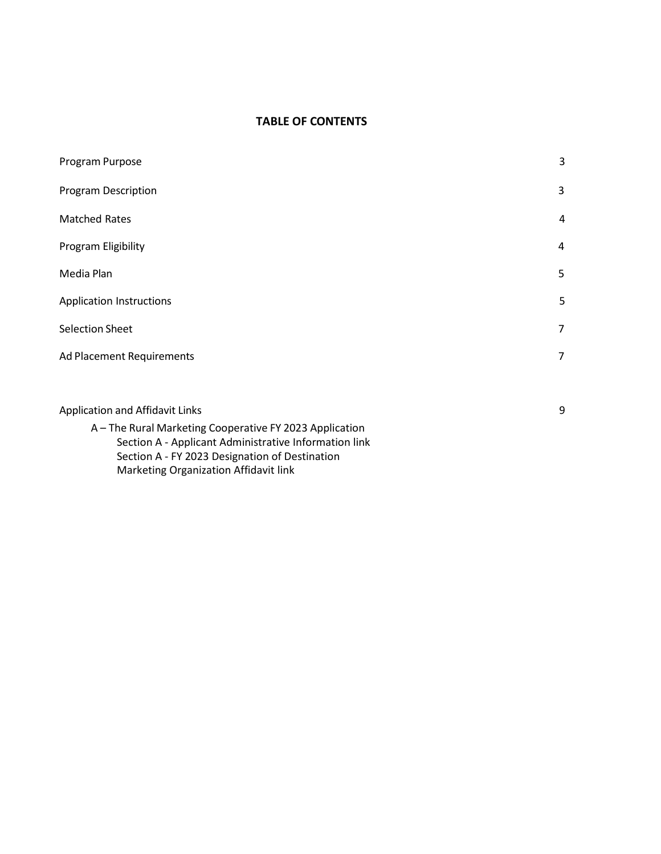#### **TABLE OF CONTENTS**

| Program Purpose                 | 3              |
|---------------------------------|----------------|
| <b>Program Description</b>      | 3              |
| <b>Matched Rates</b>            | $\overline{4}$ |
| Program Eligibility             | $\overline{4}$ |
| Media Plan                      | 5              |
| <b>Application Instructions</b> | 5              |
| <b>Selection Sheet</b>          | 7              |
| Ad Placement Requirements       | 7              |
|                                 |                |
| Application and Affidavit Links | 9              |

A – The Rural Marketing Cooperative FY 2023 Application Section A - Applicant Administrative Information link Section A - FY 2023 Designation of Destination Marketing Organization Affidavit link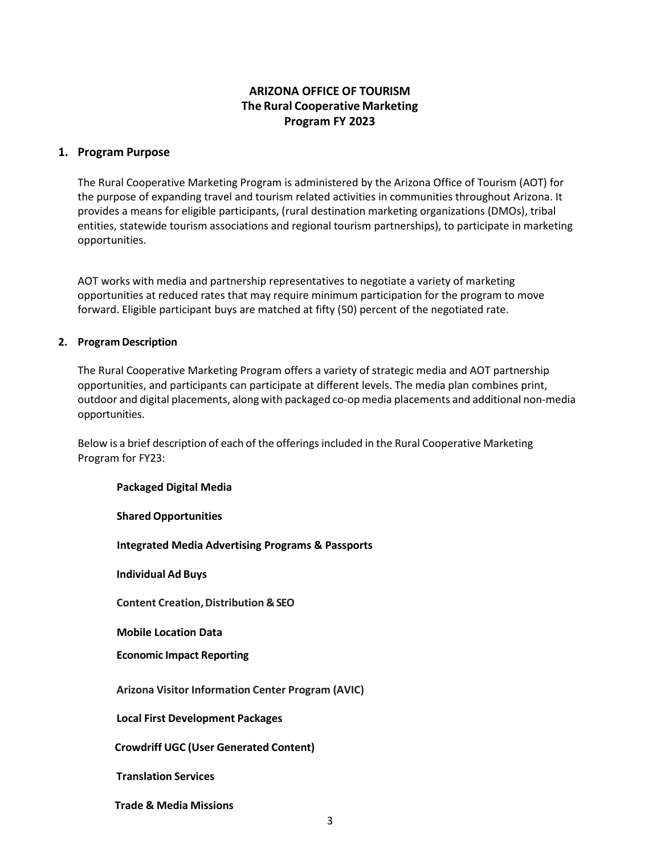#### **ARIZONA OFFICE OF TOURISM The Rural Cooperative Marketing Program FY 2023**

#### **1. Program Purpose**

The Rural Cooperative Marketing Program is administered by the Arizona Office of Tourism (AOT) for the purpose of expanding travel and tourism related activities in communities throughout Arizona. It provides a means for eligible participants, (rural destination marketing organizations (DMOs), tribal entities, statewide tourism associations and regional tourism partnerships), to participate in marketing opportunities.

AOT works with media and partnership representatives to negotiate a variety of marketing opportunities at reduced rates that may require minimum participation for the program to move forward. Eligible participant buys are matched at fifty (50) percent of the negotiated rate.

#### **2. Program Description**

The Rural Cooperative Marketing Program offers a variety of strategic media and AOT partnership opportunities, and participants can participate at different levels. The media plan combines print, outdoor and digital placements, along with packaged co-opmedia placements and additional non-media opportunities.

Below is a brief description of each of the offerings included in the Rural Cooperative Marketing Program for FY23:

| <b>Packaged Digital Media</b>                                |
|--------------------------------------------------------------|
| <b>Shared Opportunities</b>                                  |
| <b>Integrated Media Advertising Programs &amp; Passports</b> |
| <b>Individual Ad Buys</b>                                    |
| <b>Content Creation, Distribution &amp; SEO</b>              |
| <b>Mobile Location Data</b>                                  |
| <b>Economic Impact Reporting</b>                             |
| <b>Arizona Visitor Information Center Program (AVIC)</b>     |
| <b>Local First Development Packages</b>                      |
| <b>Crowdriff UGC (User Generated Content)</b>                |
| <b>Translation Services</b>                                  |
| <b>Trade &amp; Media Missions</b>                            |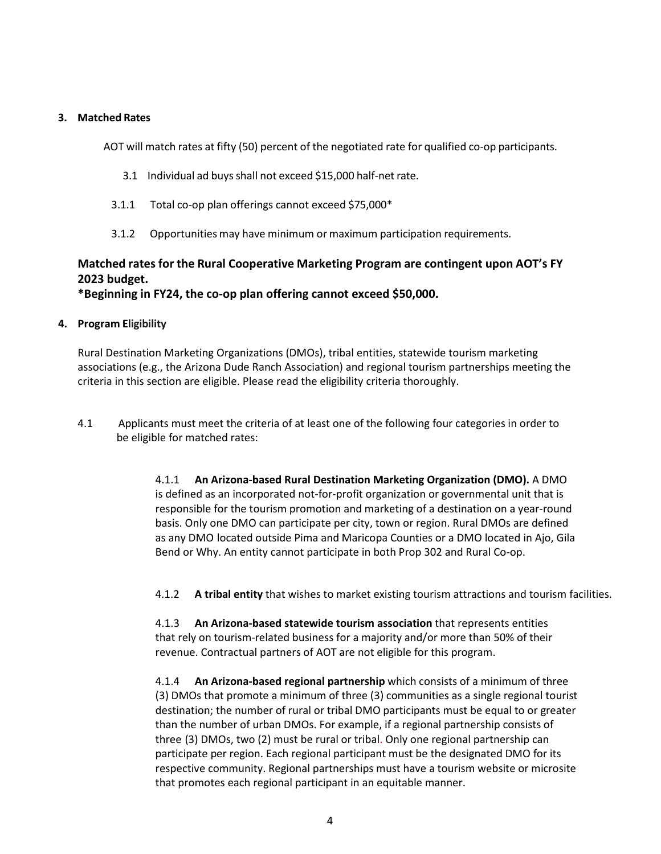#### **3. Matched Rates**

AOT will match rates at fifty (50) percent of the negotiated rate for qualified co-op participants.

- 3.1 Individual ad buysshall not exceed \$15,000 half-net rate.
- 3.1.1 Total co-op plan offerings cannot exceed \$75,000\*
- 3.1.2 Opportunities may have minimum or maximum participation requirements.

#### **Matched rates for the Rural Cooperative Marketing Program are contingent upon AOT's FY 2023 budget.**

**\*Beginning in FY24, the co-op plan offering cannot exceed \$50,000.**

#### **4. Program Eligibility**

Rural Destination Marketing Organizations (DMOs), tribal entities, statewide tourism marketing associations (e.g., the Arizona Dude Ranch Association) and regional tourism partnerships meeting the criteria in this section are eligible. Please read the eligibility criteria thoroughly.

4.1 Applicants must meet the criteria of at least one of the following four categories in order to be eligible for matched rates:

> 4.1.1 **An Arizona-based Rural Destination Marketing Organization (DMO).** A DMO is defined as an incorporated not-for-profit organization or governmental unit that is responsible for the tourism promotion and marketing of a destination on a year-round basis. Only one DMO can participate per city, town or region. Rural DMOs are defined as any DMO located outside Pima and Maricopa Counties or a DMO located in Ajo, Gila Bend or Why. An entity cannot participate in both Prop 302 and Rural Co-op.

4.1.2 **A tribal entity** that wishes to market existing tourism attractions and tourism facilities.

4.1.3 **An Arizona-based statewide tourism association** that represents entities that rely on tourism-related business for a majority and/or more than 50% of their revenue. Contractual partners of AOT are not eligible for this program.

4.1.4 **An Arizona-based regional partnership** which consists of a minimum of three (3) DMOs that promote a minimum of three (3) communities as a single regional tourist destination; the number of rural or tribal DMO participants must be equal to or greater than the number of urban DMOs. For example, if a regional partnership consists of three (3) DMOs, two (2) must be rural or tribal. Only one regional partnership can participate per region. Each regional participant must be the designated DMO for its respective community. Regional partnerships must have a tourism website or microsite that promotes each regional participant in an equitable manner.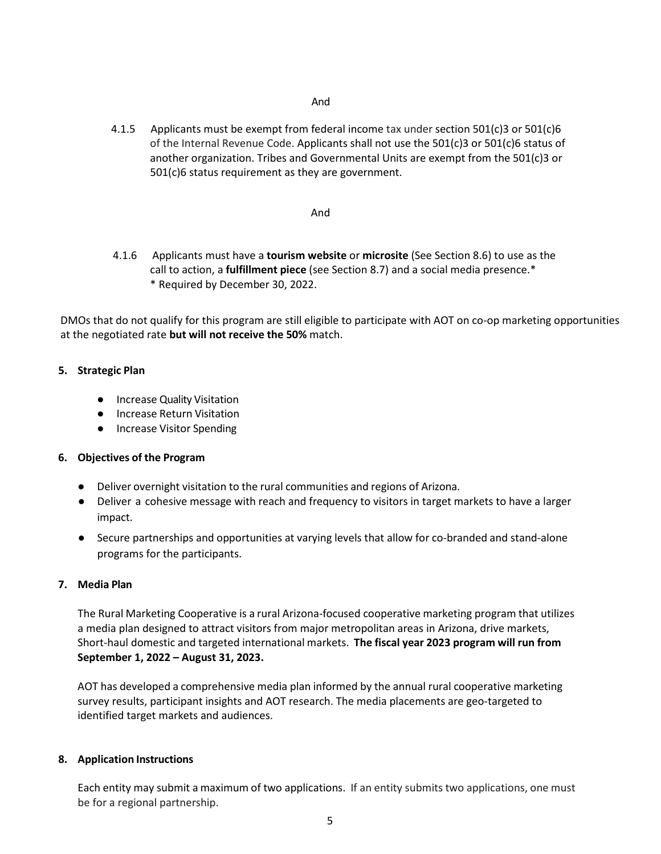#### And

4.1.5 Applicants must be exempt from federal income tax under section 501(c)3 or 501(c)6 of the Internal Revenue Code. Applicants shall not use the  $501(c)3$  or  $501(c)6$  status of another organization. Tribes and Governmental Units are exempt from the 501(c)3 or 501(c)6 status requirement as they are government.

#### And

4.1.6 Applicants must have a **tourism website** or **microsite** (See Section 8.6) to use as the call to action, a **fulfillment piece** (see Section 8.7) and a social media presence.\* \* Required by December 30, 2022.

DMOs that do not qualify for this program are still eligible to participate with AOT on co-op marketing opportunities at the negotiated rate **but will not receive the 50%** match.

#### **5. Strategic Plan**

- Increase Quality Visitation
- Increase Return Visitation
- Increase Visitor Spending

#### **6. Objectives of the Program**

- Deliver overnight visitation to the rural communities and regions of Arizona.
- Deliver a cohesive message with reach and frequency to visitors in target markets to have a larger impact.
- Secure partnerships and opportunities at varying levels that allow for co-branded and stand-alone programs for the participants.

#### **7. Media Plan**

The Rural Marketing Cooperative is a rural Arizona-focused cooperative marketing program that utilizes a media plan designed to attract visitors from major metropolitan areas in Arizona, drive markets, Short-haul domestic and targeted international markets. **The fiscal year 2023 program will run from September 1, 2022 – August 31, 2023.**

AOT has developed a comprehensive media plan informed by the annual rural cooperative marketing survey results, participant insights and AOT research. The media placements are geo-targeted to identified target markets and audiences.

#### **8. Application Instructions**

Each entity may submit a maximum of two applications. If an entity submits two applications, one must be for a regional partnership.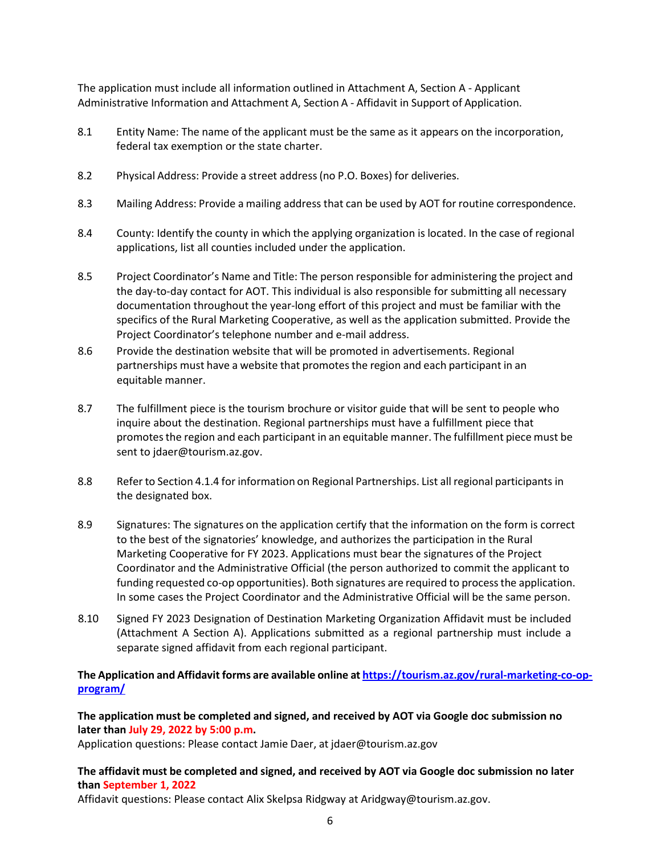The application must include all information outlined in Attachment A, Section A - Applicant Administrative Information and Attachment A, Section A - Affidavit in Support of Application.

- 8.1 Entity Name: The name of the applicant must be the same as it appears on the incorporation, federal tax exemption or the state charter.
- 8.2 Physical Address: Provide a street address(no P.O. Boxes) for deliveries.
- 8.3 Mailing Address: Provide a mailing address that can be used by AOT for routine correspondence.
- 8.4 County: Identify the county in which the applying organization is located. In the case of regional applications, list all counties included under the application.
- 8.5 Project Coordinator's Name and Title: The person responsible for administering the project and the day-to-day contact for AOT. This individual is also responsible for submitting all necessary documentation throughout the year-long effort of this project and must be familiar with the specifics of the Rural Marketing Cooperative, as well as the application submitted. Provide the Project Coordinator's telephone number and e-mail address.
- 8.6 Provide the destination website that will be promoted in advertisements. Regional partnerships must have a website that promotesthe region and each participant in an equitable manner.
- 8.7 The fulfillment piece is the tourism brochure or visitor guide that will be sent to people who inquire about the destination. Regional partnerships must have a fulfillment piece that promotesthe region and each participant in an equitable manner. The fulfillment piece must be sent to jdaer@tourism.az.gov.
- 8.8 Refer to Section 4.1.4 for information on Regional Partnerships. List all regional participants in the designated box.
- 8.9 Signatures: The signatures on the application certify that the information on the form is correct to the best of the signatories' knowledge, and authorizes the participation in the Rural Marketing Cooperative for FY 2023. Applications must bear the signatures of the Project Coordinator and the Administrative Official (the person authorized to commit the applicant to funding requested co-op opportunities). Both signatures are required to processthe application. In some cases the Project Coordinator and the Administrative Official will be the same person.
- 8.10 Signed FY 2023 Designation of Destination Marketing Organization Affidavit must be included (Attachment A Section A). Applications submitted as a regional partnership must include a separate signed affidavit from each regional participant.

#### **The Application and Affidavit forms are available online at [https://tourism.az.gov/rural-marketing-co-op](https://tourism.az.gov/rural-marketing-co-op-program/)[program/](https://tourism.az.gov/rural-marketing-co-op-program/)**

**The application must be completed and signed, and received by AOT via Google doc submission no later than July 29, 2022 by 5:00 p.m.** 

Application questions: Please contact Jamie Daer, at jdaer@tourism.az.gov

#### **The affidavit must be completed and signed, and received by AOT via Google doc submission no later than September 1, 2022**

Affidavit questions: Please contact Alix Skelpsa Ridgway at Aridgway@tourism.az.gov.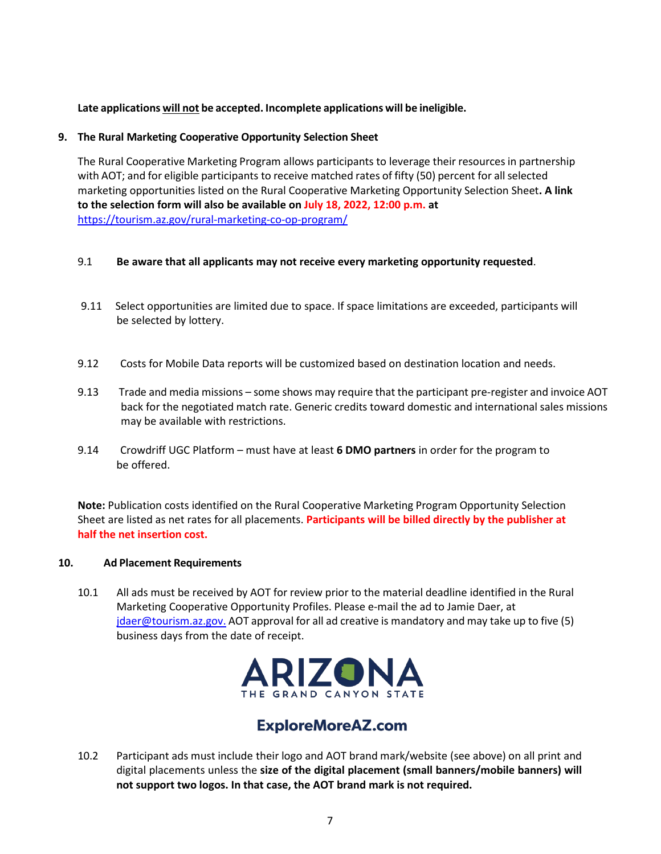#### **Late applications will not be accepted. Incomplete applications will be ineligible.**

#### **9. The Rural Marketing Cooperative Opportunity Selection Sheet**

The Rural Cooperative Marketing Program allows participants to leverage their resources in partnership with AOT; and for eligible participants to receive matched rates of fifty (50) percent for all selected marketing opportunities listed on the Rural Cooperative Marketing Opportunity Selection Sheet**. A link to the selection form will also be available on July 18, 2022, 12:00 p.m. at**  <https://tourism.az.gov/rural-marketing-co-op-program/>

#### 9.1 **Be aware that all applicants may not receive every marketing opportunity requested**.

- 9.11 Select opportunities are limited due to space. If space limitations are exceeded, participants will be selected by lottery.
- 9.12 Costs for Mobile Data reports will be customized based on destination location and needs.
- 9.13 Trade and media missions some shows may require that the participant pre-register and invoice AOT back for the negotiated match rate. Generic credits toward domestic and international sales missions may be available with restrictions.
- 9.14 Crowdriff UGC Platform must have at least **6 DMO partners** in order for the program to be offered.

**Note:** Publication costs identified on the Rural Cooperative Marketing Program Opportunity Selection Sheet are listed as net rates for all placements. **Participants will be billed directly by the publisher at half the net insertion cost.**

#### **10. Ad Placement Requirements**

10.1 All ads must be received by AOT for review prior to the material deadline identified in the Rural Marketing Cooperative Opportunity Profiles. Please e-mail the ad to Jamie Daer, at [jdaer@tourism.az.gov.](mailto:jdaer@tourism.az.gov) AOT approval for all ad creative is mandatory and may take up to five (5) business days from the date of receipt.



### **ExploreMoreAZ.com**

10.2 Participant ads must include their logo and AOT brand mark/website (see above) on all print and digital placements unless the **size of the digital placement (small banners/mobile banners) will not support two logos. In that case, the AOT brand mark is not required.**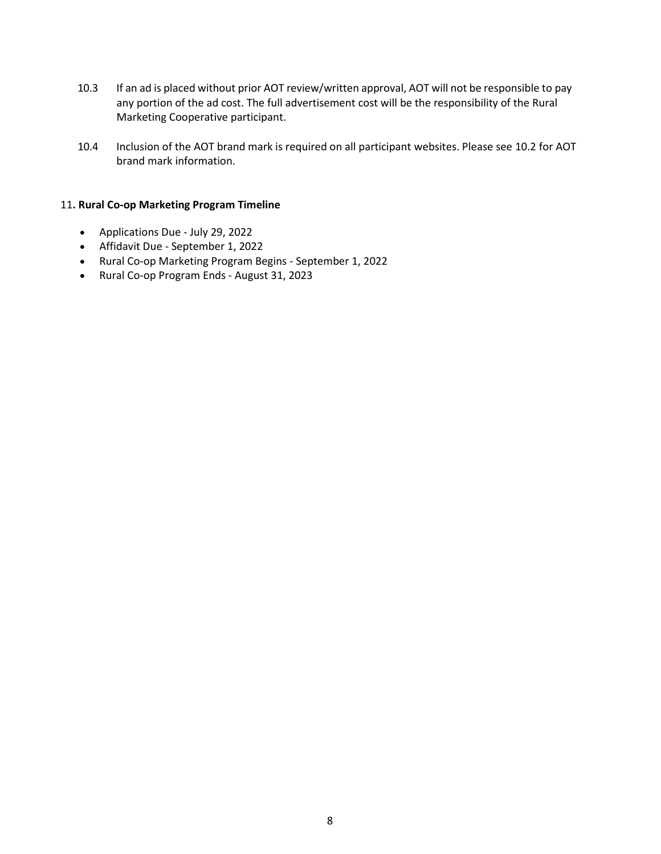- 10.3 If an ad is placed without prior AOT review/written approval, AOT will not be responsible to pay any portion of the ad cost. The full advertisement cost will be the responsibility of the Rural Marketing Cooperative participant.
- 10.4 Inclusion of the AOT brand mark is required on all participant websites. Please see 10.2 for AOT brand mark information.

#### 11**. Rural Co-op Marketing Program Timeline**

- Applications Due July 29, 2022
- Affidavit Due September 1, 2022
- Rural Co-op Marketing Program Begins September 1, 2022
- Rural Co-op Program Ends August 31, 2023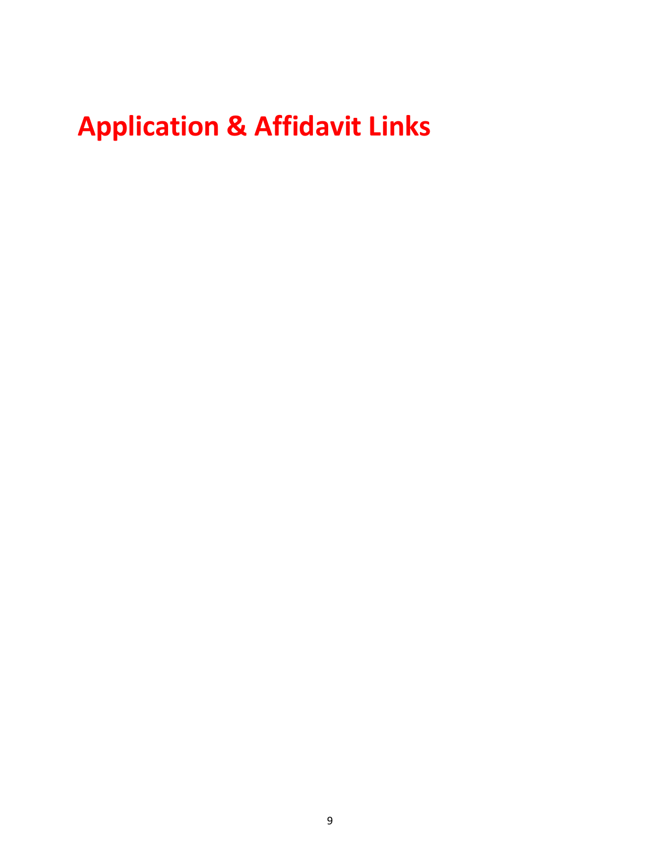# **Application & Affidavit Links**